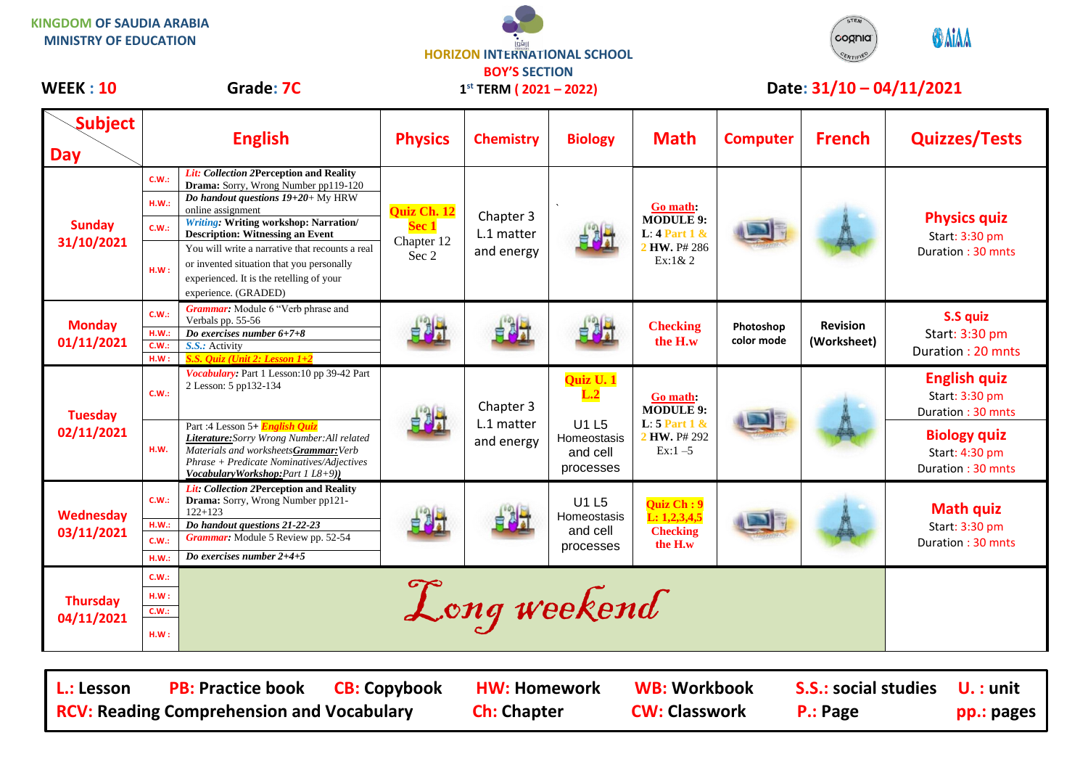| <b>KINGDOM OF SAUDIA ARABIA</b><br><b>MINISTRY OF EDUCATION</b> |                                        |                                                                                                                                                                                                               | <b>HORIZON INTERNATIONAL SCHOOL</b>                     |                                       |                                               |                                                                                |                          | cognia<br>ERTIFIE              | <b>O</b> AIAA                                              |
|-----------------------------------------------------------------|----------------------------------------|---------------------------------------------------------------------------------------------------------------------------------------------------------------------------------------------------------------|---------------------------------------------------------|---------------------------------------|-----------------------------------------------|--------------------------------------------------------------------------------|--------------------------|--------------------------------|------------------------------------------------------------|
| <b>WEEK: 10</b>                                                 | Grade: 7C<br><b>English</b>            |                                                                                                                                                                                                               | <b>BOY'S SECTION</b><br>$1^{st}$ TERM ( $2021 - 2022$ ) |                                       |                                               |                                                                                | Date: 31/10 - 04/11/2021 |                                |                                                            |
| <b>Subject</b><br><b>Day</b>                                    |                                        |                                                                                                                                                                                                               | <b>Physics</b>                                          | <b>Chemistry</b>                      | <b>Biology</b>                                | <b>Math</b>                                                                    | <b>Computer</b>          | <b>French</b>                  | <b>Quizzes/Tests</b>                                       |
| <b>Sunday</b><br>31/10/2021                                     | C.W.:<br>H.W.:<br>C.W.:                | Lit: Collection 2Perception and Reality<br>Drama: Sorry, Wrong Number pp119-120<br>Do handout questions $19+20+$ My HRW<br>online assignment<br><b>Writing: Writing workshop: Narration/</b>                  | Quiz Ch. 12<br><b>Sec 1</b><br>Chapter 12<br>Sec 2      | Chapter 3<br>L.1 matter<br>and energy |                                               | Go math:<br><b>MODULE 9:</b><br>L: $4$ Part $1$ &<br>2 HW. P# 286<br>$Ex:1\&2$ |                          |                                | <b>Physics quiz</b><br>Start: 3:30 pm<br>Duration: 30 mnts |
|                                                                 | H.W:                                   | <b>Description: Witnessing an Event</b><br>You will write a narrative that recounts a real<br>or invented situation that you personally<br>experienced. It is the retelling of your<br>experience. (GRADED)   |                                                         |                                       |                                               |                                                                                |                          |                                |                                                            |
| <b>Monday</b><br>01/11/2021                                     | C.W.:<br>H.W.:<br><b>C.W.:</b><br>H.W: | Grammar: Module 6 "Verb phrase and<br>Verbals pp. 55-56<br>Do exercises number 6+7+8<br>S.S.: Activity<br>S.S. Quiz (Unit 2: Lesson 1+2                                                                       |                                                         |                                       |                                               | <b>Checking</b><br>the H.w                                                     | Photoshop<br>color mode  | <b>Revision</b><br>(Worksheet) | S.S quiz<br>Start: 3:30 pm<br>Duration: 20 mnts            |
| <b>Tuesday</b><br>02/11/2021                                    | C.W.:                                  | Vocabulary: Part 1 Lesson: 10 pp 39-42 Part<br>2 Lesson: 5 pp132-134                                                                                                                                          |                                                         | Chapter 3<br>L.1 matter<br>and energy | Quiz U. 1<br>L.2                              | Go math:<br><b>MODULE 9:</b>                                                   |                          |                                | <b>English quiz</b><br>Start: 3:30 pm<br>Duration: 30 mnts |
|                                                                 | H.W.                                   | Part :4 Lesson 5+ English Quiz<br><b>Literature:</b> Sorry Wrong Number:All related<br>Materials and worksheetsGrammar: Verb<br>Phrase + Predicate Nominatives/Adjectives<br>VocabularyWorkshop:Part 1 L8+9)) |                                                         |                                       | U1 L5<br>Homeostasis<br>and cell<br>processes | L: $5$ Part 1 &<br>2 HW. P# 292<br>$Ex:1-5$                                    |                          |                                | <b>Biology quiz</b><br>Start: 4:30 pm<br>Duration: 30 mnts |
| Wednesday<br>03/11/2021                                         | C.W.:<br>H.W.:<br>C.W.:                | Lit: Collection 2Perception and Reality<br>Drama: Sorry, Wrong Number pp121-<br>$122 + 123$<br>Do handout questions 21-22-23<br>Grammar: Module 5 Review pp. 52-54<br>Do exercises number $2+4+5$             |                                                         |                                       | U1 L5<br>Homeostasis<br>and cell<br>processes | <b>Quiz Ch: 9</b><br>L: 1, 2, 3, 4, 5<br><b>Checking</b><br>the H.w            |                          |                                | <b>Math quiz</b><br>Start: 3:30 pm<br>Duration: 30 mnts    |
|                                                                 | H.W.<br>C.W.:                          |                                                                                                                                                                                                               |                                                         |                                       |                                               |                                                                                |                          |                                |                                                            |

E.W.: Long weekend

**Thursday 04/11/2021**

**C.W.: H.W :**

| L.: Lesson | <b>PB: Practice book CB: Copybook</b>            | HW: Homework       | WB: Workbook         | <b>S.S.: social studies</b> U.: unit |            |
|------------|--------------------------------------------------|--------------------|----------------------|--------------------------------------|------------|
|            | <b>RCV: Reading Comprehension and Vocabulary</b> | <b>Ch: Chapter</b> | <b>CW: Classwork</b> | <b>P.: Page</b>                      | pp.: pages |